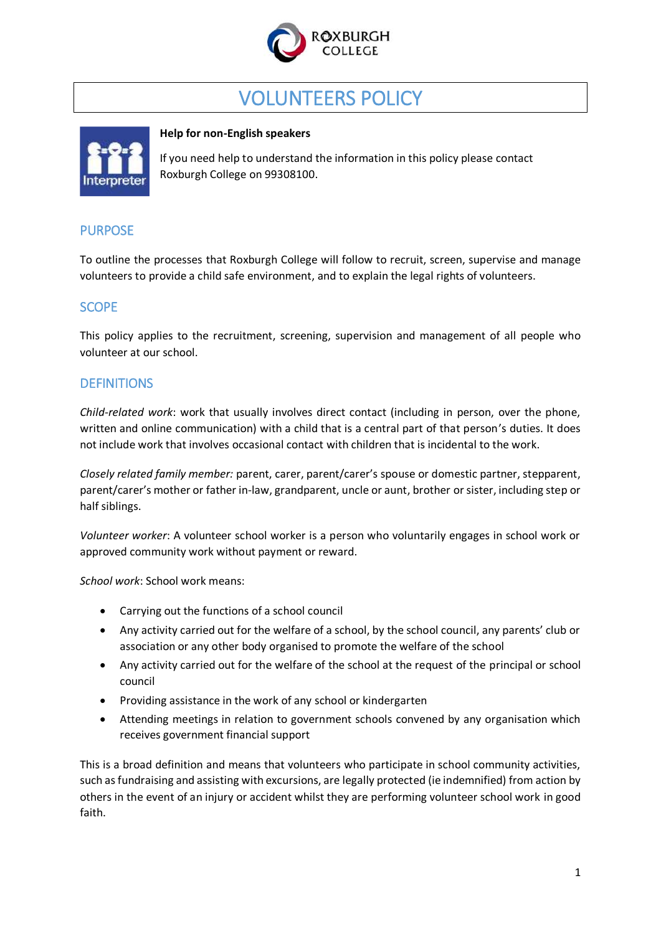

# VOLUNTEERS POLICY



#### **Help for non-English speakers**

If you need help to understand the information in this policy please contact Roxburgh College on 99308100.

# PURPOSE

To outline the processes that Roxburgh College will follow to recruit, screen, supervise and manage volunteers to provide a child safe environment, and to explain the legal rights of volunteers.

## **SCOPE**

This policy applies to the recruitment, screening, supervision and management of all people who volunteer at our school.

## **DEFINITIONS**

*Child-related work*: work that usually involves direct contact (including in person, over the phone, written and online communication) with a child that is a central part of that person's duties. It does not include work that involves occasional contact with children that is incidental to the work.

*Closely related family member:* parent, carer, parent/carer's spouse or domestic partner, stepparent, parent/carer's mother or father in-law, grandparent, uncle or aunt, brother or sister, including step or half siblings.

*Volunteer worker*: A volunteer school worker is a person who voluntarily engages in school work or approved community work without payment or reward.

*School work*: School work means:

- Carrying out the functions of a school council
- Any activity carried out for the welfare of a school, by the school council, any parents' club or association or any other body organised to promote the welfare of the school
- Any activity carried out for the welfare of the school at the request of the principal or school council
- Providing assistance in the work of any school or kindergarten
- Attending meetings in relation to government schools convened by any organisation which receives government financial support

This is a broad definition and means that volunteers who participate in school community activities, such as fundraising and assisting with excursions, are legally protected (ie indemnified) from action by others in the event of an injury or accident whilst they are performing volunteer school work in good faith.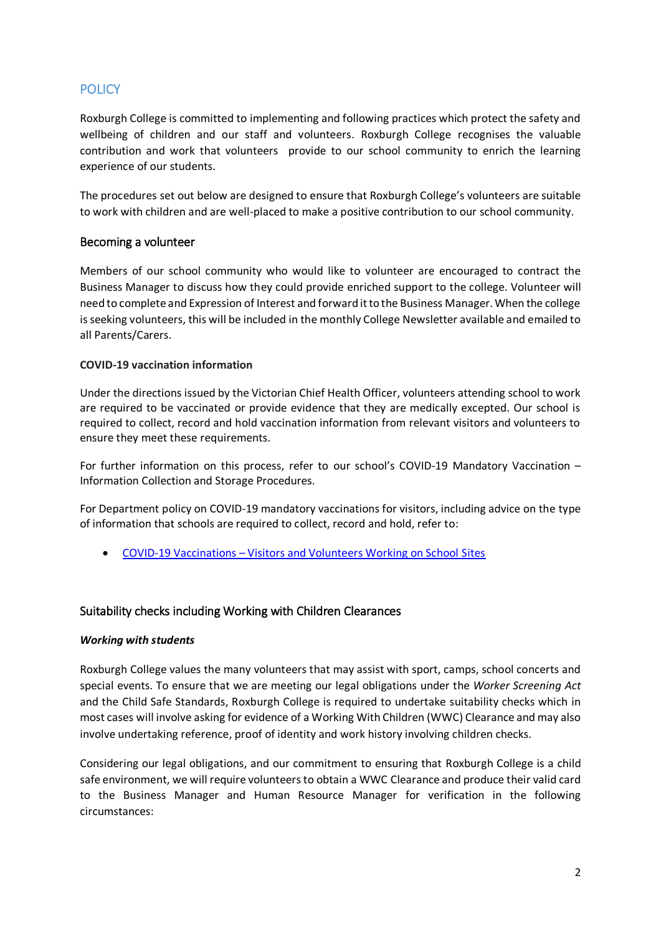# **POLICY**

Roxburgh College is committed to implementing and following practices which protect the safety and wellbeing of children and our staff and volunteers. Roxburgh College recognises the valuable contribution and work that volunteers provide to our school community to enrich the learning experience of our students.

The procedures set out below are designed to ensure that Roxburgh College's volunteers are suitable to work with children and are well-placed to make a positive contribution to our school community.

#### Becoming a volunteer

Members of our school community who would like to volunteer are encouraged to contract the Business Manager to discuss how they could provide enriched support to the college. Volunteer will need to complete and Expression of Interest and forward it to the Business Manager. When the college is seeking volunteers, this will be included in the monthly College Newsletter available and emailed to all Parents/Carers.

#### **COVID-19 vaccination information**

Under the directions issued by the Victorian Chief Health Officer, volunteers attending school to work are required to be vaccinated or provide evidence that they are medically excepted. Our school is required to collect, record and hold vaccination information from relevant visitors and volunteers to ensure they meet these requirements.

For further information on this process, refer to our school's COVID-19 Mandatory Vaccination – Information Collection and Storage Procedures.

For Department policy on COVID-19 mandatory vaccinations for visitors, including advice on the type of information that schools are required to collect, record and hold, refer to:

COVID-19 Vaccinations – [Visitors and Volunteers Working on School Sites](https://www2.education.vic.gov.au/pal/covid-19-vaccinations-visitors-volunteers/policy)

#### Suitability checks including Working with Children Clearances

#### *Working with students*

Roxburgh College values the many volunteers that may assist with sport, camps, school concerts and special events. To ensure that we are meeting our legal obligations under the *Worker Screening Act*  and the Child Safe Standards, Roxburgh College is required to undertake suitability checks which in most cases will involve asking for evidence of a Working With Children (WWC) Clearance and may also involve undertaking reference, proof of identity and work history involving children checks.

Considering our legal obligations, and our commitment to ensuring that Roxburgh College is a child safe environment, we will require volunteers to obtain a WWC Clearance and produce their valid card to the Business Manager and Human Resource Manager for verification in the following circumstances: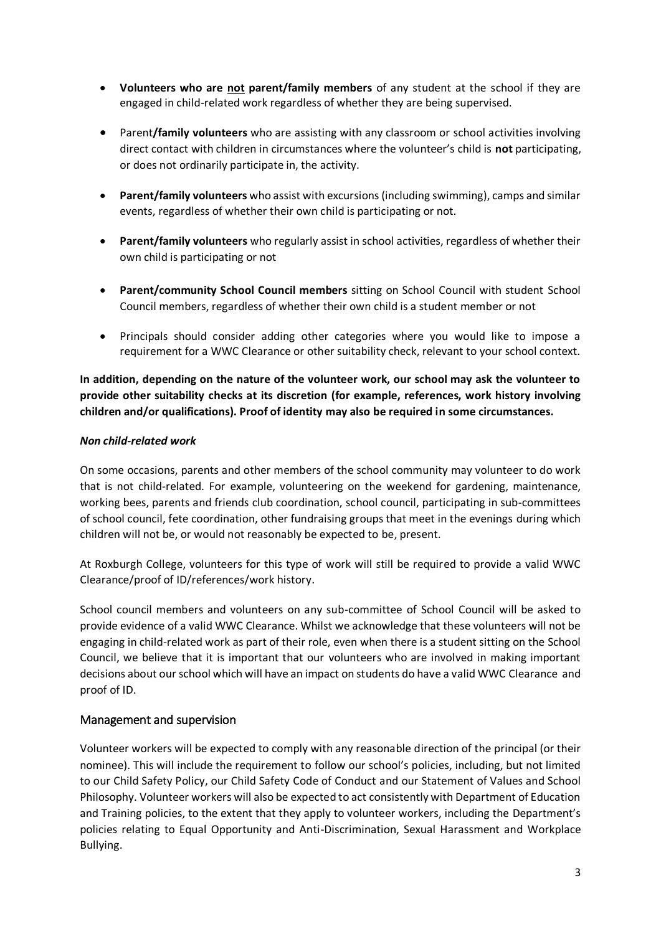- **Volunteers who are not parent/family members** of any student at the school if they are engaged in child-related work regardless of whether they are being supervised.
- Parent**/family volunteers** who are assisting with any classroom or school activities involving direct contact with children in circumstances where the volunteer's child is **not** participating, or does not ordinarily participate in, the activity.
- **Parent/family volunteers** who assist with excursions (including swimming), camps and similar events, regardless of whether their own child is participating or not.
- **Parent/family volunteers** who regularly assist in school activities, regardless of whether their own child is participating or not
- **Parent/community School Council members** sitting on School Council with student School Council members, regardless of whether their own child is a student member or not
- Principals should consider adding other categories where you would like to impose a requirement for a WWC Clearance or other suitability check, relevant to your school context.

**In addition, depending on the nature of the volunteer work, our school may ask the volunteer to provide other suitability checks at its discretion (for example, references, work history involving children and/or qualifications). Proof of identity may also be required in some circumstances.**

#### *Non child-related work*

On some occasions, parents and other members of the school community may volunteer to do work that is not child-related. For example, volunteering on the weekend for gardening, maintenance, working bees, parents and friends club coordination, school council, participating in sub-committees of school council, fete coordination, other fundraising groups that meet in the evenings during which children will not be, or would not reasonably be expected to be, present.

At Roxburgh College, volunteers for this type of work will still be required to provide a valid WWC Clearance/proof of ID/references/work history.

School council members and volunteers on any sub-committee of School Council will be asked to provide evidence of a valid WWC Clearance. Whilst we acknowledge that these volunteers will not be engaging in child-related work as part of their role, even when there is a student sitting on the School Council, we believe that it is important that our volunteers who are involved in making important decisions about our school which will have an impact on students do have a valid WWC Clearance and proof of ID.

#### Management and supervision

Volunteer workers will be expected to comply with any reasonable direction of the principal (or their nominee). This will include the requirement to follow our school's policies, including, but not limited to our Child Safety Policy, our Child Safety Code of Conduct and our Statement of Values and School Philosophy. Volunteer workers will also be expected to act consistently with Department of Education and Training policies, to the extent that they apply to volunteer workers, including the Department's policies relating to Equal Opportunity and Anti-Discrimination, Sexual Harassment and Workplace Bullying.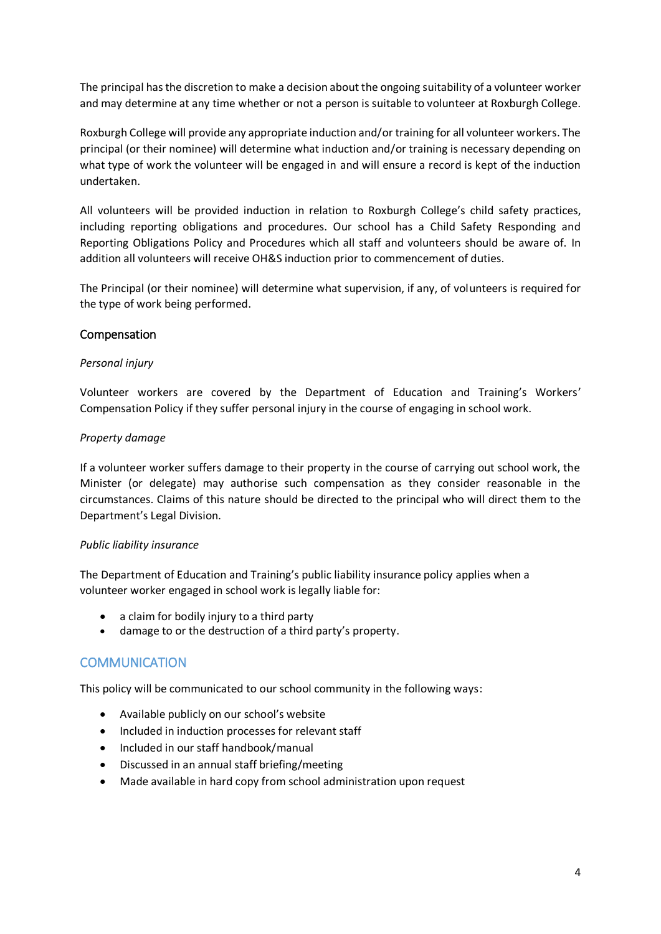The principal has the discretion to make a decision about the ongoing suitability of a volunteer worker and may determine at any time whether or not a person is suitable to volunteer at Roxburgh College.

Roxburgh College will provide any appropriate induction and/or training for all volunteer workers. The principal (or their nominee) will determine what induction and/or training is necessary depending on what type of work the volunteer will be engaged in and will ensure a record is kept of the induction undertaken.

All volunteers will be provided induction in relation to Roxburgh College's child safety practices, including reporting obligations and procedures. Our school has a Child Safety Responding and Reporting Obligations Policy and Procedures which all staff and volunteers should be aware of. In addition all volunteers will receive OH&S induction prior to commencement of duties.

The Principal (or their nominee) will determine what supervision, if any, of volunteers is required for the type of work being performed.

#### Compensation

#### *Personal injury*

Volunteer workers are covered by the Department of Education and Training's Workers' Compensation Policy if they suffer personal injury in the course of engaging in school work.

#### *Property damage*

If a volunteer worker suffers damage to their property in the course of carrying out school work, the Minister (or delegate) may authorise such compensation as they consider reasonable in the circumstances. Claims of this nature should be directed to the principal who will direct them to the Department's Legal Division.

#### *Public liability insurance*

The Department of Education and Training's public liability insurance policy applies when a volunteer worker engaged in school work is legally liable for:

- a claim for bodily injury to a third party
- damage to or the destruction of a third party's property.

## **COMMUNICATION**

This policy will be communicated to our school community in the following ways:

- Available publicly on our school's website
- Included in induction processes for relevant staff
- Included in our staff handbook/manual
- Discussed in an annual staff briefing/meeting
- Made available in hard copy from school administration upon request